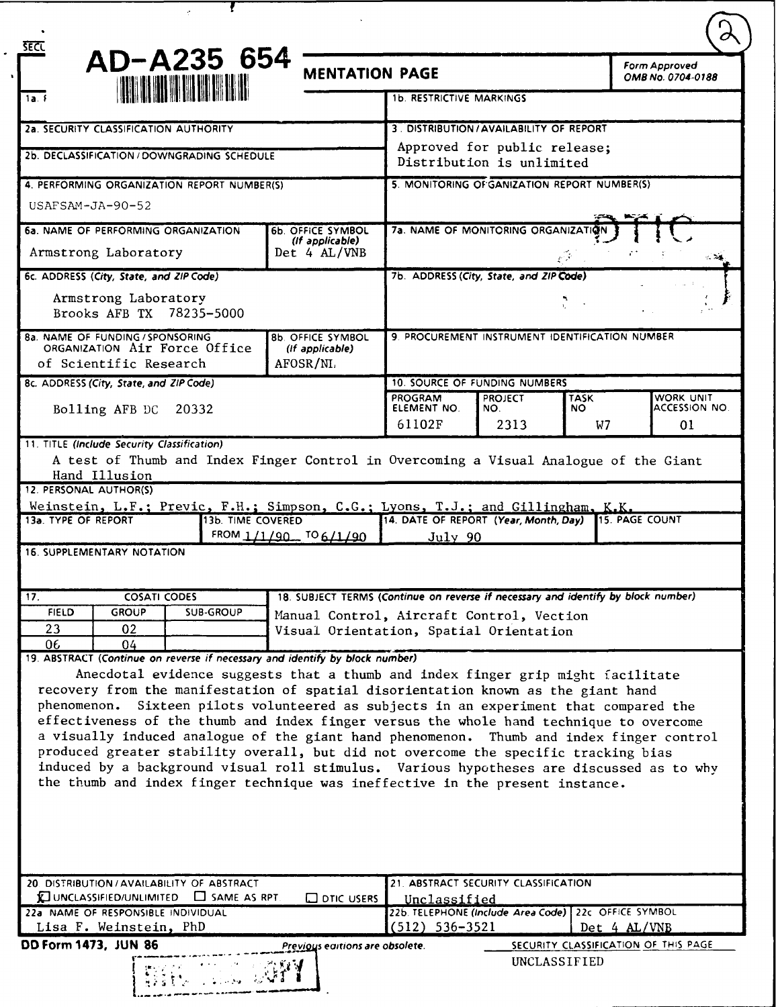|                                                                                                                                                                                                                                                                                                                                                                                                                                                                                                                                                                                                                                                | AD-A235 654       | <b>MENTATION PAGE</b>                                                                |                                                                                                                                    |                       |                    | Form Approved<br>OMB No. 0704-0188 |  |
|------------------------------------------------------------------------------------------------------------------------------------------------------------------------------------------------------------------------------------------------------------------------------------------------------------------------------------------------------------------------------------------------------------------------------------------------------------------------------------------------------------------------------------------------------------------------------------------------------------------------------------------------|-------------------|--------------------------------------------------------------------------------------|------------------------------------------------------------------------------------------------------------------------------------|-----------------------|--------------------|------------------------------------|--|
| <b>THE REAL PROPERTY</b><br>1a. f                                                                                                                                                                                                                                                                                                                                                                                                                                                                                                                                                                                                              |                   |                                                                                      | <b>1b. RESTRICTIVE MARKINGS</b>                                                                                                    |                       |                    |                                    |  |
| 2a. SECURITY CLASSIFICATION AUTHORITY<br>2b. DECLASSIFICATION / DOWNGRADING SCHEDULE                                                                                                                                                                                                                                                                                                                                                                                                                                                                                                                                                           |                   |                                                                                      | 3. DISTRIBUTION/AVAILABILITY OF REPORT                                                                                             |                       |                    |                                    |  |
|                                                                                                                                                                                                                                                                                                                                                                                                                                                                                                                                                                                                                                                |                   |                                                                                      | Approved for public release;<br>Distribution is unlimited                                                                          |                       |                    |                                    |  |
|                                                                                                                                                                                                                                                                                                                                                                                                                                                                                                                                                                                                                                                |                   |                                                                                      |                                                                                                                                    |                       |                    |                                    |  |
| $USAFSAM-JA-90-52$                                                                                                                                                                                                                                                                                                                                                                                                                                                                                                                                                                                                                             |                   |                                                                                      |                                                                                                                                    |                       |                    |                                    |  |
| 6a. NAME OF PERFORMING ORGANIZATION                                                                                                                                                                                                                                                                                                                                                                                                                                                                                                                                                                                                            |                   | <b>6b. OFFICE SYMBOL</b><br>(if applicable)                                          | 7a. NAME OF MONITORING ORGANIZATION                                                                                                |                       |                    |                                    |  |
| Armstrong Laboratory                                                                                                                                                                                                                                                                                                                                                                                                                                                                                                                                                                                                                           |                   | Det 4 AL/VNB                                                                         | $-25$                                                                                                                              |                       |                    |                                    |  |
| 6c. ADDRESS (City, State, and ZIP Code)                                                                                                                                                                                                                                                                                                                                                                                                                                                                                                                                                                                                        |                   |                                                                                      | 7b. ADDRESS (City, State, and ZIP Code)                                                                                            |                       |                    |                                    |  |
| Armstrong Laboratory<br>Brooks AFB TX 78235-5000                                                                                                                                                                                                                                                                                                                                                                                                                                                                                                                                                                                               |                   |                                                                                      |                                                                                                                                    |                       |                    |                                    |  |
| 8a. NAME OF FUNDING / SPONSORING<br>ORGANIZATION Air Force Office                                                                                                                                                                                                                                                                                                                                                                                                                                                                                                                                                                              |                   | <b>8b. OFFICE SYMBOL</b><br>(If applicable)                                          | 9. PROCUREMENT INSTRUMENT IDENTIFICATION NUMBER                                                                                    |                       |                    |                                    |  |
| of Scientific Research                                                                                                                                                                                                                                                                                                                                                                                                                                                                                                                                                                                                                         |                   | AFOSR/NL                                                                             |                                                                                                                                    |                       |                    |                                    |  |
| 8c. ADDRESS (City, State, and ZIP Code)                                                                                                                                                                                                                                                                                                                                                                                                                                                                                                                                                                                                        |                   |                                                                                      | 10. SOURCE OF FUNDING NUMBERS                                                                                                      |                       |                    |                                    |  |
| Bolling AFB DC 20332                                                                                                                                                                                                                                                                                                                                                                                                                                                                                                                                                                                                                           |                   |                                                                                      | PROGRAM<br>ELEMENT NO.                                                                                                             | <b>PROJECT</b><br>NO. | <b>TASK</b><br>NO. | WORK UNIT<br>ACCESSION NO.         |  |
|                                                                                                                                                                                                                                                                                                                                                                                                                                                                                                                                                                                                                                                |                   |                                                                                      | 61102F                                                                                                                             | 2313                  |                    | 01<br>W7                           |  |
|                                                                                                                                                                                                                                                                                                                                                                                                                                                                                                                                                                                                                                                | 13b. TIME COVERED | FROM $1/1/90$ TO 6/1/90                                                              | 14. DATE OF REPORT (Year, Month, Day) 15. PAGE COUNT<br>July 90                                                                    |                       |                    |                                    |  |
|                                                                                                                                                                                                                                                                                                                                                                                                                                                                                                                                                                                                                                                |                   |                                                                                      |                                                                                                                                    |                       |                    |                                    |  |
| <b>COSATI CODES</b>                                                                                                                                                                                                                                                                                                                                                                                                                                                                                                                                                                                                                            |                   | 18. SUBJECT TERMS (Continue on reverse if necessary and identify by block number)    |                                                                                                                                    |                       |                    |                                    |  |
| <b>FIELD</b><br><b>GROUP</b><br>23<br>02                                                                                                                                                                                                                                                                                                                                                                                                                                                                                                                                                                                                       | <b>SUB-GROUP</b>  | Manual Control, Aircraft Control, Vection<br>Visual Orientation, Spatial Orientation |                                                                                                                                    |                       |                    |                                    |  |
| 12. PERSONAL AUTHOR(S)<br>Weinstein, L.F.; Previc, F.H.; Simpson, C.G.; Lyons, T.J.; and Gillingham, K.K.<br>13a. TYPE OF REPORT<br><b>16. SUPPLEMENTARY NOTATION</b><br>17.<br>06<br>04<br>19. ABSTRACT (Continue on reverse if necessary and identify by block number)                                                                                                                                                                                                                                                                                                                                                                       |                   |                                                                                      |                                                                                                                                    |                       |                    |                                    |  |
| Anecdotal evidence suggests that a thumb and index finger grip might facilitate<br>recovery from the manifestation of spatial disorientation known as the giant hand<br>phenomenon.<br>effectiveness of the thumb and index finger versus the whole hand technique to overcome<br>a visually induced analogue of the giant hand phenomenon. Thumb and index finger control<br>produced greater stability overall, but did not overcome the specific tracking bias<br>induced by a background visual roll stimulus. Various hypotheses are discussed as to why<br>the thumb and index finger technique was ineffective in the present instance. |                   | Sixteen pilots volunteered as subjects in an experiment that compared the            |                                                                                                                                    |                       |                    |                                    |  |
| 20. DISTRIBUTION / AVAILABILITY OF ABSTRACT<br><b>EL UNCLASSIFIED/UNLIMITED EL SAME AS RPT.</b><br>22a NAME OF RESPONSIBLE INDIVIDUAL<br>Lisa F. Weinstein, PhD                                                                                                                                                                                                                                                                                                                                                                                                                                                                                |                   | <b>Q</b> DTIC USERS                                                                  | 21. ABSTRACT SECURITY CLASSIFICATION<br>Unclassified<br>22b. TELEPHONE (Include Area Code) 22c OFFICE SYMBOL<br>$(512) 536 - 3521$ |                       |                    | $Det$ 4 AL/VNB                     |  |

 $\phi$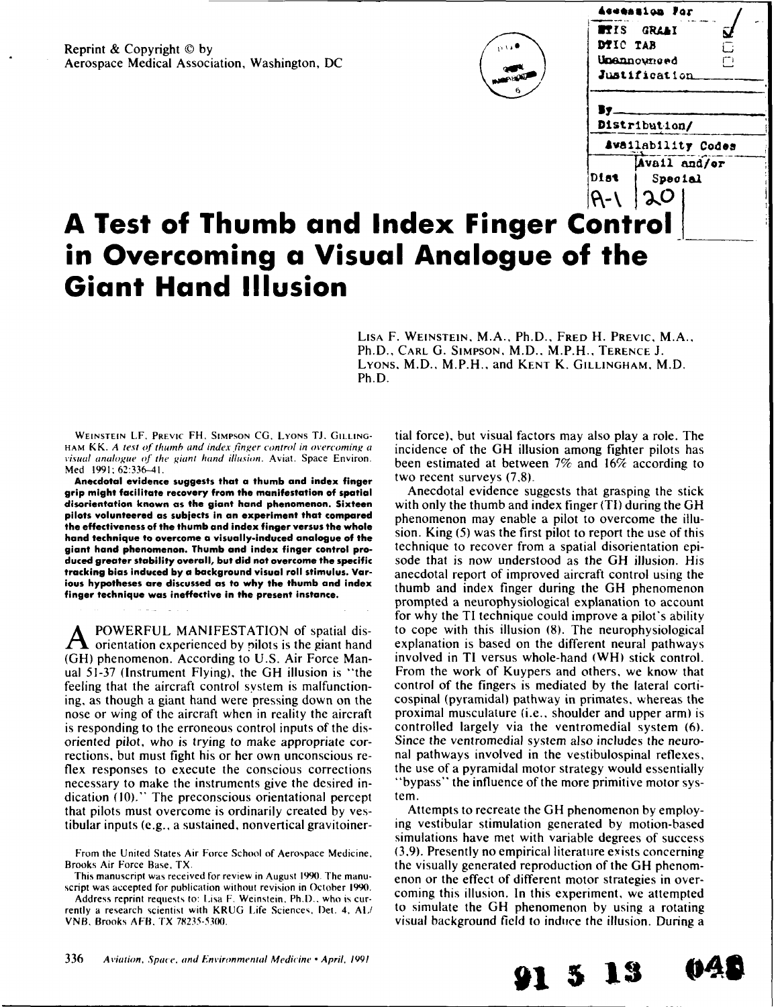Reprint & Copyright © by Aerospace Medical Association, Washington, DC



|          | Aceession For      |    |  |
|----------|--------------------|----|--|
|          | <b>PTIS GRAAI</b>  |    |  |
| DTIC TAB |                    | Г. |  |
|          | Unannowneed        | m  |  |
|          | Justification      |    |  |
|          | Distribution/      |    |  |
|          | Awailability Codes |    |  |
|          | Avail and/or       |    |  |
| Dist     | Special            |    |  |
|          | J.O                |    |  |
| Control  |                    |    |  |

# **A Test of Thumb and Index Finger ( in Overcoming a Visual Analogue of the Giant Hand Illusion**

LISA F. **WEINSTEIN.** M.A., Ph.D., FRED H. PREVIC, M.A., Ph.D., CARL **G.** SIMPSON, M.D., M.P.H., TERENCE **J.** LYONS, M.D., M.P.H., and KENT K. GILLINGHAM, M.D. Ph.D.

Med 1991:62:336-41.

**Anecdotal evidence suggests that a thumb and index finger** two recent surveys (7,8). **grip might facilitate recovery from the manifestation of spatial** Anecdotal evidence suggests that grasping the stick **the effectiveness of the thumb and index finger versus the whole**

dication (10)." The preconscious orientational percept tem. that pilots must overcome is ordinarily created by ves- Attempts to recreate the GH phenomenon by employ-

Address reprint requests to: Lisa F. Weinstein, Ph.D., who is cur-

WEINSTEIN LF. PREVIC FH. SIMPSON CG. LYONS **TJ.** GILLING- tial force), but visual factors may also play a role. The HAM KK. A test of thumb and index finger control in overcoming a *incidence* of the GH illusion among fighter pilots has visual analogue of the giant hand illusion. Aviat. Space Environ. been estimated at between 7% and 16% according to

**disorientation known as the giant hand phenomenon. Sixteen** with only the thumb and index finger (TI) during the GH **pilots volunteered as subjects in an experiment that compared** phenomenon may enable a pilot to overcome the illu**hand technique to overcome a visually-induced analogue of the** sion. King **(5)** was the first pilot to report the use of this **giant hand phenomenon. Thumb and index finger control pro-** technique to recover from a spatial disorientation epi**duced greater stability overall, but did not overcome the specific** sode that is now understood as the GH illusion. His **tracking bias induced by a background visual roll stimulus. Var-** anecdotal report of improved aircraft control using the **ious hypotheses are discussed as to why the thumb and index** thumb and index finger during the GH phenomenon **finger technique was ineffective in the present instance.** prompted a neurophysiological explanation to account for why the TI technique could improve a pilot's ability **A** POWERFUL MANIFESTATION of spatial dis- to cope with this illusion **(8).** The neurophysiological  $\bf{A}$  orientation experienced by pilots is the giant hand explanation is based on the different neural pathways **(GH)** phenomenon. According to U.S. Air Force Man- involved in TI versus whole-hand (WH) stick control. ual 51-37 (Instrument Flying), the GH illusion is "the From the work of Kuypers and others, we know that feeling that the aircraft control system is malfunction- control of the fingers is mediated by the lateral cortiing, as though a giant hand were pressing down on the cospinal (pyramidal) pathway in primates, whereas the nose or wing of the aircraft when in reality the aircraft proximal musculature (i.e., shoulder and upper arm) is is responding to the erroneous control inputs of the dis- controlled largely via the ventromedial system **(6).** oriented pilot, who is trying to make appropriate cor- Since the ventromedial system also includes the neurorections, but must fight his or her own unconscious re- nal pathways involved in the vestibulospinal reflexes, flex responses to execute the conscious corrections the use of a pyramidal motor strategy would essentially necessary to make the instruments give the desired in- "bypass" the influence of the more primitive motor sys-

tibular inputs (e.g., a sustained, nonvertical gravitoiner- ing vestibular stimulation generated by motion-based simulations have met with variable degrees of success From the United States Air Force School of Aerospace Medicine. (3,9). Presently no empirical literature exists concerning Brooks Air Force Base, TX.<br>
This manuscript was received for review in August 1990. The manu-<br>
script was accepted for publication without revision in October 1990.<br>
Address reprint requests to: Lisa E. Weinstein, Pb D., w rently a research scientist with KRUG Life Sciences, Det. 4, AI. to simulate the GH phenomenon by using a rotating VNB, Brooks AFB, TX 78235-5300.

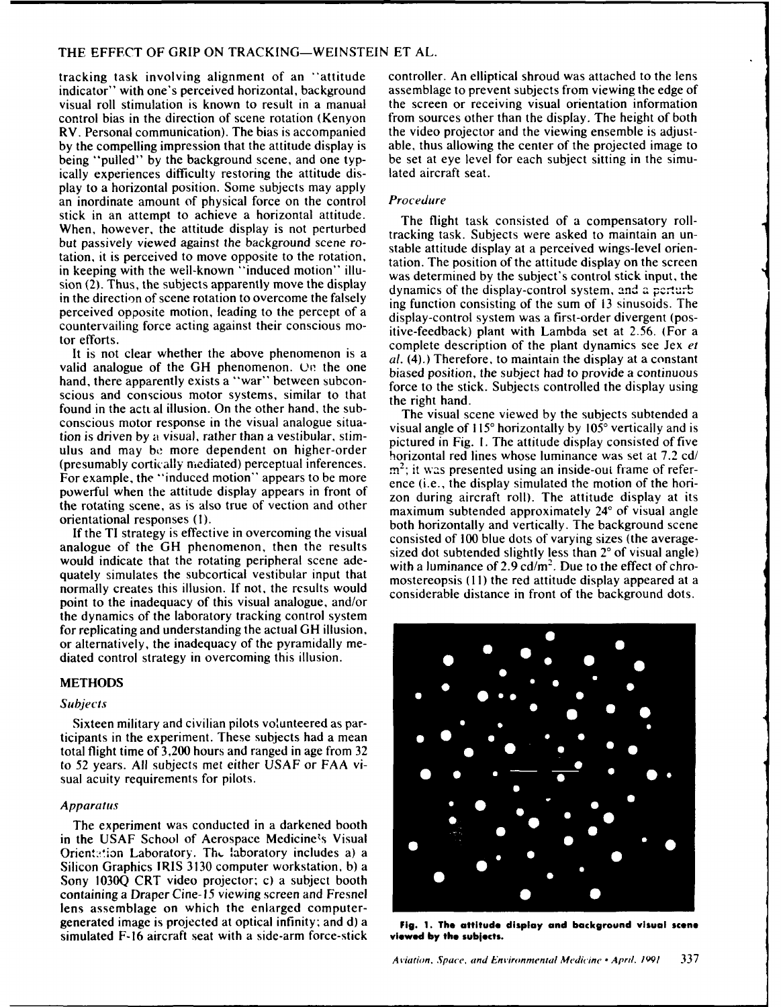tracking task involving alignment of an "attitude controller. An elliptical shroud was attached to the lens<br>indicator" with one's perceived horizontal, background assemblage to prevent subjects from viewing the edge of visual roll stimulation is known to result in a manual the screen or receiving visual orientation information control bias in the direction of scene rotation (Kenyon from sources other than the display. The height of both RV. Personal communication). The bias is accompanied the video projector and the viewing ensemble is adjust-<br>by the compelling impression that the attitude display is able, thus allowing the center of the projected image t by the compelling impression that the attitude display is being "pulled" by the background scene, and one typ- be set at eye level for each subject sitting in the simuically experiences difficulty restoring the attitude dis- lated aircraft seat. play to a horizontal position. Some subjects may apply an inordinate amount of physical force on the control Procedure stick in an attempt to achieve a horizontal attitude. The flight task consisted of a compensatory roll-When, however, the attitude display is not perturbed tracking task. Subjects were asked to maintain an unbut passively viewed against the background scene ro-<br>stable attitude display at a perceived wings-level orientation, it is perceived to move opposite to the rotation,<br>in keeping with the well-known "induced motion" illu-<br>use determined by the scrietic capital stick input, the sion (2). Thus, the subjects apparently move the display dynamics of the display-control system, and a perturb in the direction of scene rotation to overcome the falsely ing function consisting of the sum of 13 sinusoids. The perceived opposite motion, leading to the percept of a display-control system was a first-order divergent (poscountervailing force acting against their conscious mo-<br>itive-feedback) plant with Lambda set at 2.56. (For a

valid analogue of the GH phenomenon. On the one  $\frac{di}{dx}(4)$ , increased position, the subject had to provide a continuous scious and conscious motor systems, similar to that the right hand. found in the acti al illusion. On the other hand, the sub- The visual scene viewed **by** the subjects subtended a tion is driven by a visual, rather than a vestibular, stim- pictured in Fig. I. The attitude display consisted of five ulus and may be more dependent on higher-order<br>(presumably cortically mediated) perceptual inferences.<br> $m^2$ , it was presented weing an implies with frame of refer-(presumably cortically mediated) perceptual interestions.<br>For example, the "induced motion" appears to be more<br>powerful when the attitude display appears in front of and during eigenfull). The attitude display at its<br>cond

would indicate that the rotating peripheral scene ade-<br>with a luminance of 2.9 cd/m<sup>2</sup>. Due to the effect of chroquately simulates the subcortical vestibular input that mostereopsis (11) the red attitude display appeared at a normally creates this illusion. If not, the results would<br>considerable distance in front of the background dots. point to the inadequacy of this visual analogue, and/or the dynamics of the laboratory tracking control system for replicating and understanding the actual GH illusion, or alternatively, the inadequacy of the pyramidally mediated control strategy in overcoming this illusion.

### **METHODS**

### Subjects

Sixteen military and civilian pilots volunteered as participants in the experiment. These subjects had a mean total flight time of 3,200 hours and ranged in age from 32 to 52 years. All subjects met either USAF or FAA visual acuity requirements for pilots.

## *Apparatus*

The experiment was conducted in a darkened booth in the USAF School of Aerospace Medicine's Visual Orientation Laboratory. The laboratory includes a) a Silicon Graphics IRIS 3130 computer workstation, b) a Sony 1030Q CRT video projector; c) a subject booth containing a Draper Cine-15 viewing screen and Fresnel lens assemblage on which the enlarged computergenerated image is projected at optical infinity; and **d)** a **Fig. 1. The attitude display and background visual scene** simulated F-16 aircraft seat with a side-arm force-stick **viewed by the subjects.**

assemblage to prevent subjects from viewing the edge of

was determined by the subject's control stick input, the tor efforts.<br>complete description of the plant dynamics see Jex et It is not clear whether the above phenomenon is a  $\frac{1}{a}$ . (4).) Therefore, to maintain the display at a constant hand, there apparently exists a "war" between subcon-<br>force to the stick. Subjects controlled the display using

conscious motor response in the visual analogue situa-<br>visual angle of 115° horizontally by 105° vertically and is zon during aircraft roll). The attitude display at its the rotating scene, as is also true of vection and other maximum subtended approximately  $24^\circ$  of visual angle orientational responses (1).<br>both horizontally and vertically. The background scene If the TI strategy is effective in overcoming the visual consisted of 100 blue dots of varying sizes (the averageanalogue of the GH phenomenon, then the results sized dot subtended slightly less than 2° of visual angle)

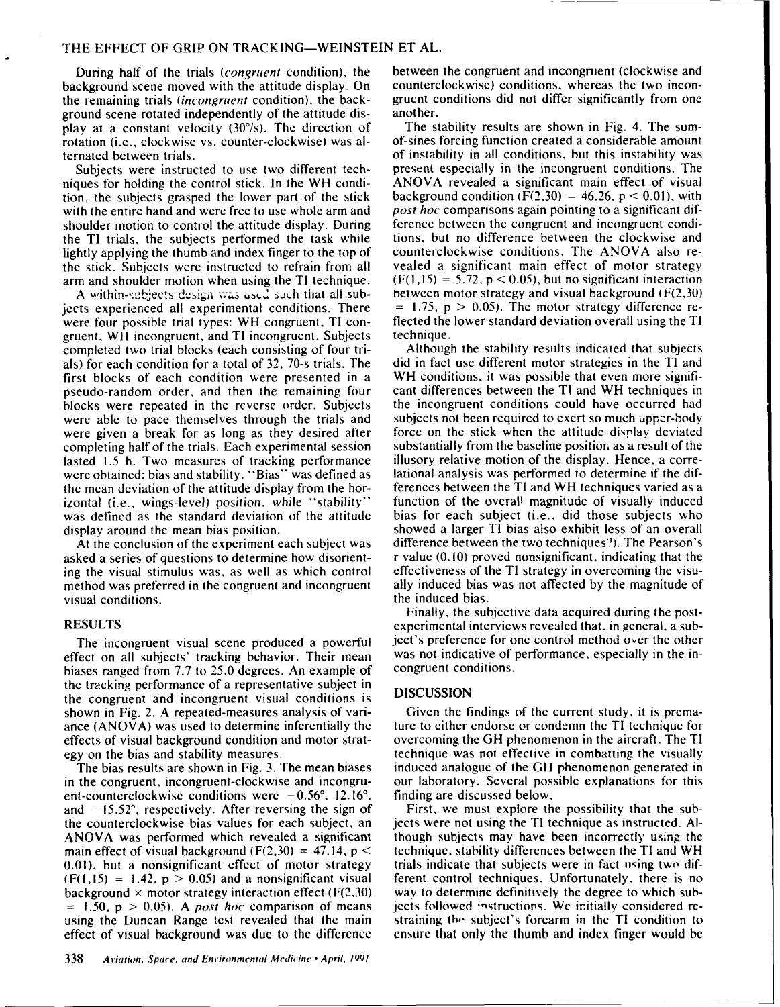ground scene rotated independently of the attitude dis-<br>play at a constant velocity (30%). The direction of The stability results are shown in Fig. 4. The sumrotation (i.e., clockwise vs. counter-clockwise) was al-<br>ternated between trials.

niques for holding the control stick. In the WH condition, the subjects grasped the lower part of the stick background condition  $(F(2,30) = 46.26, p < 0.01)$ , with with the entire hand and were free to use whole arm and post hoc comparisons again pointing to a significant difwith the entire hand and were free to use whole arm and post hoc comparisons again pointing to a significant dif-<br>shoulder motion to control the attitude display. During ference between the congruent and incongruent condi shoulder motion to control the attitude display. During ference between the congruent and incongruent condi-<br>the TI trials, the subjects performed the task while tions, but no difference between the clockwise and the TI trials, the subjects performed the task while tions, but no difference between the clockwise and<br>lightly applying the thumb and index finger to the top of counterclockwise conditions. The ANOVA also relightly applying the thumb and index finger to the top of counterclockwise conditions. The ANOVA also rethe stick. Subjects were instructed to refrain from all

were four possible trial types: WH congruent, TI con-<br>equent, WH incongruent, and TI incongruent. Subjects technique. gruent, WH incongruent, and TI incongruent. Subjects technique.<br>completed two trial blocks (each consisting of four tri-<br>Although the stability results indicated that subjects completed two trial blocks (each consisting of four trials) for each condition for a total of 32, 70-s trials. The did in fact use different motor strategies in the TI and first blocks of each condition were presented in a WH conditions, it was possible that even more signifi-<br>pseudo-random order, and then the remaining four cant differences between the TI and WH techniques in pseudo-random order, and then the remaining four blocks were repeated in the reverse order. Subjects the incongruent conditions could have occurred had were able to pace themselves through the trials and subjects not been required to exert so much upper-body were given a break for as long as they desired after force on the stick when the attitude display deviated completing half of the trials. Each experimental session substantially from the baseline position as a result of the lasted 1.5 h. Two measures of tracking performance illusory relative motion of the display. Hence, a corr lasted 1.5 h. Two measures of tracking performance illusory relative motion of the display. Hence, a corre-<br>were obtained: bias and stability. "Bias" was defined as lational analysis was performed to determine if the difwere obtained: bias and stability. "Bias" was defined as the mean deviation of the attitude display from the hor-<br>interest between the TI and WH techniques varied as a<br>izontal (i.e., wings-level) position, while "stability" function of the overall magnitude of visually induced izontal (i.e., wings-level) position, while "stability" function of the overall magnitude of visually induced was defined as the standard deviation of the attitude

At the conclusion of the experiment each subject was visual conditions.

effect on all subjects' tracking behavior. Their mean was not indicative of performance of performance, especially in the integration in the integration of performance, especially in the integration of performance, especi biases ranged from 7.7 to 25.0 degrees. An example of the tracking performance of a representative subject in the congruent and incongruent visual conditions is DISCUSSION shown in Fig. 2. A repeated-measures analysis of vari- Given the findings of the current study, it is premaance (ANOVA) was used to determine inferentially the ture to either endorse or condemn the TI technique for effects of visual background condition and motor strat- overcoming the GH phenomenon in the aircraft. The TI egy on the bias and stability measures. technique was not effective in combatting the visually

in the congruent, incongruent-clockwise and incongru- our laboratory. Several possible explanations for this ent-counterclockwise conditions were  $-0.56^{\circ}$ , 12.16°, finding are discussed below. and  $-15.52^\circ$ , respectively. After reversing the sign of First, we must explore the possibility that the sub- $0.01$ ), but a nonsignificant effect of motor strategy trials indicate that subjects were in fact using two difbackground  $\times$  motor strategy interaction effect (F(2.30) way to determine definitively the degree to which subeffect of visual background was due to the difference ensure that only the thumb and index finger would be

During half of the trials (*congruent* condition), the between the congruent and incongruent (clockwise and background scene moved with the attitude display. On counterclockwise) conditions, whereas the two inconthe remaining trials (*incongruent* condition), the back-<br>gruent conditions did not differ significantly from one<br>ground scene rotated independently of the attitude dis-<br>another.

play at a constant velocity (30°/s). The direction of The stability results are shown in Fig. 4. The sum-<br>rotation (i.e., clockwise vs. counter-clockwise) was al-<br>of-sines forcing function created a considerable amount of instability in all conditions, but this instability was present especially in the incongruent conditions. The Subjects were instructed to use two different tech-<br>gues for holding the control stick. In the WH condi-<br>ANOVA revealed a significant main effect of visual arm and shoulder motion when using the TI technique. (F(1,15) = 5.72, p < 0.05), but no significant interaction A within-subjects design was used such that all sub- between motor strategy and visual background ( $F(2,30)$ ) jects experienced all experimental conditions. There  $= 1.75$ ,  $p > 0.05$ ). The motor strategy difference re-<br>were four possible trial types: WH congruent. TI con-<br>flected the lower standard deviation overall using the TI

display around the mean bias position.<br>At the conclusion of the experiment each subject was difference between the two techniques?). The Pearson's asked a series of questions to determine how disorient- r value (0. **10)** proved nonsignificant. indicating that the ing the visual stimulus was, as well as which control effectiveness of the TI strategy in overcoming the visumethod was preferred in the congruent and incongruent ally induced bias was not affected by the magnitude of visual conditions.

Finally, the subjective data acquired during the post-RESULTS experimental interviews revealed that. in general. a sub-The incongruent visual scene produced a powerful ject's preference for one control method over the other<br>fect on all subjects' tracking behavior. Their mean was not indicative of performance, especially in the in-

The bias results are shown in Fig. 3. The mean biases induced analogue of the GH phenomenon generated in

the counterclockwise bias values for each subject, an jects were not using the TI technique as instructed. **Al-**ANOVA was performed which revealed a significant though subjects may have been incorrectly using the main effect of visual background  $(F(2,30) = 47.14, p <$  technique. stability differences between the TI and WH  $(F(1,15) = 1.42, p > 0.05)$  and a nonsignificant visual ferent control techniques. Unfortunately, there is no  $= 1.50$ ,  $p > 0.05$ ). A *post hoc* comparison of means jects followed instructions. We initially considered reusing the Duncan Range test revealed that the main straining the subject's forearm in the TI condition to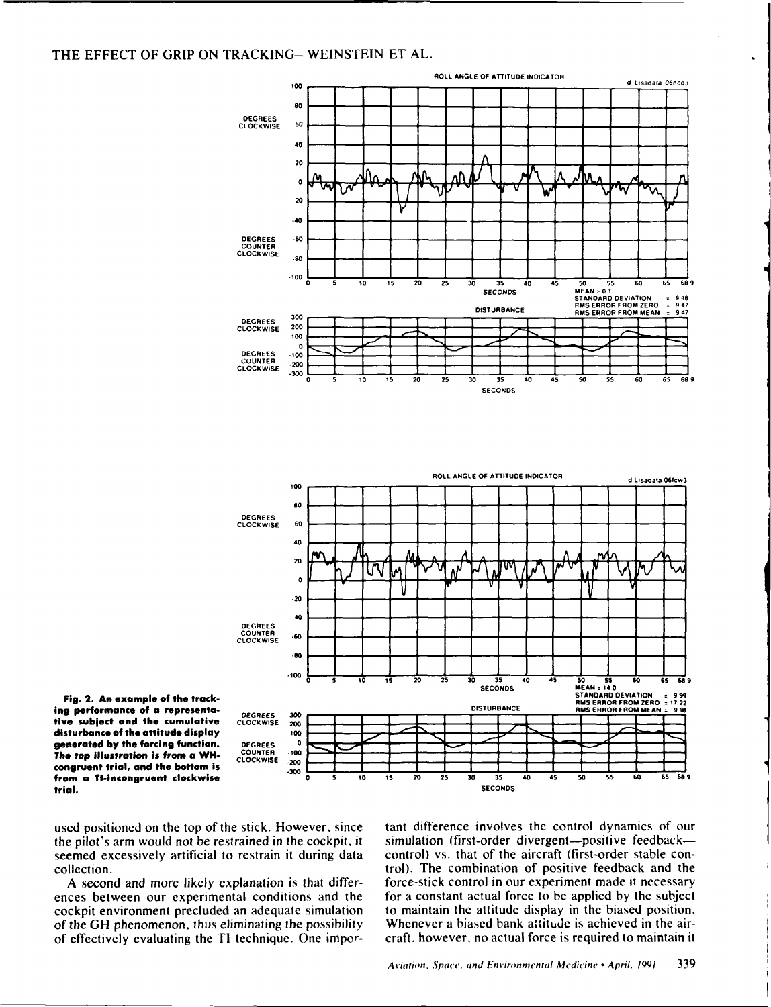

**ing performance of a representa-** DEGREES 300<br>**tive subject and the cumulative** CLOCKWISE 200 tive **subject and the cumulative** CLOCKWISE **2W disturbance of the attitude display 100**<br> **generated by the forcing function.** DEGIRES 0<br> **The top illustration is from a WH** CLOCKWISE -200 **generated by the forcing function.** DEGREES 0<br>The ten illustration is from a WH. COUNTER -100 **The top illustration is from a WH. COUNTER -100** congruent trial, and the bottom is

cockpit environment precluded an adequate simulation of effectively evaluating the TI technique. One impor- craft. however, no actual force is required to maintain it

used positioned on the top of the stick. However, since tant difference involves the control dynamics of our the pilot's arm would not be restrained in the cockpit, it simulation (first-order divergent-positive feedbackseemed excessively artificial to restrain it during data control) vs. that of the aircraft (first-order stable concollection. trol). The combination of positive feedback and the **A** second and more **likely** explanation is that differ- force-stick control in our experiment made it necessary ences between our experimental conditions and the for a constant actual force to **be** applied **by** the subject of the **GH** phenomenon, thus eliminating the possibility Whenever a biased bank attitude is achieved in the air-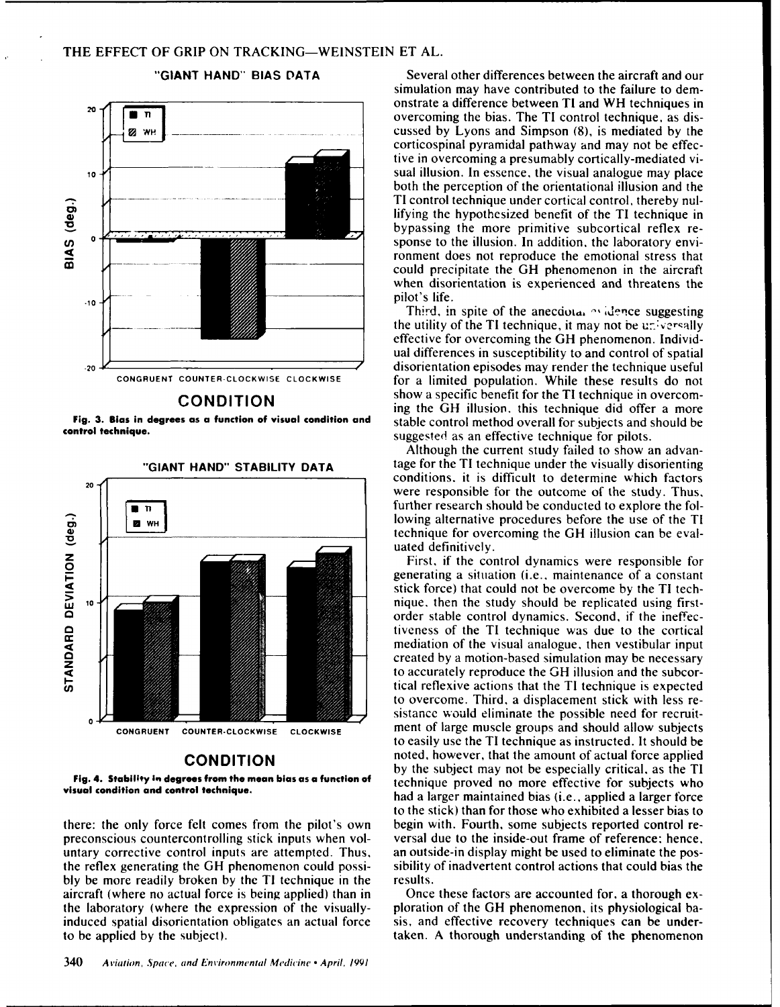



Fig. 4. Stability in degrees from the mean bias as a function of

bly be more readily broken by the TI technique in the results. aircraft (where no actual force is being applied) than in Once these factors are accounted for, a thorough ex-

**"GIANT HAND" BIAS DATA** Several other differences between the aircraft and our simulation may have contributed to the failure to dem-<sup>20</sup>  $\sqrt{\frac{m}{\sqrt{m}}}$  onstrate a difference between TI and WH techniques in<br>overcoming the bias. The TI control technique as dis- $\begin{array}{c|c|c|c|c|c} \hline \blacksquare & \blacksquare & \blacksquare & \multimap \\ \hline \blacksquare & \blacksquare & \multimap & \multimap \\ \hline \blacksquare & \blacksquare & \multimap & \multimap \\ \hline \blacksquare & \blacksquare & \multimap & \multimap \\ \hline \blacksquare & \blacksquare & \multimap & \multimap \\ \hline \blacksquare & \blacksquare & \multimap & \multimap \\ \hline \blacksquare & \blacksquare & \multimap & \multimap \\ \blacksquare & \blacksquare & \multimap & \multimap \\ \blacksquare & \blacksquare & \multimap & \multimap \\ \blacksquare & \blacksquare & \multimap & \multimap \\ \$ corticospinal pyramidal pathway and may not be effective in overcoming a presumably cortically-mediated vi-10<sup>1</sup>/<sub>10</sub>/ sual illusion. In essence, the visual analogue may place both the perception of the orientational illusion and the TI control technique under cortical control, thereby nullifying the hypothesized benefit of the TI technique in bypassing the more primitive subcortical reflex recontrol technique under cortical control, thereby nul-<br>lifying the hypothesized benefit of the TI technique in<br>bypassing the more primitive subcortical reflex re-<br>sponse to the illusion. In addition, the laboratory envi-<br>c ronment does not reproduce the emotional stress that could precipitate the GH phenomenon in the aircraft when disorientation is experienced and threatens the

Third, in spite of the anecdutal <sup>ox</sup> idence suggesting the utility of the TI technique, it may not be universally effective for overcoming the GH phenomenon. Individual differences in susceptibility to and control of spatial -20 disorientation episodes may render the technique useful **CONGRUENT COUNTER-CLOCKWISE CLOCKWISE** for a limited population. While these results do not **CONDITION** show a specific benefit for the TI technique in overcoming the GH illusion. this technique did offer a more **Fig. 3. Bias in degrees as a function of visual condition and** stable control method overall for subjects and should be **control technique. control technique. control technique for pilots**. **Supports that the supports of pilots** suggested as an effective technique for pilots.

> Although the current study failed to show an advan- **"GIANT HAND" STABILITY DATA** tage for the TI technique under the visually disorienting conditions. it is difficult to determine which factors were responsible for the outcome of the study. Thus, The state of the further research should be conducted to explore the fol-<br>
> lowing alternative procedures before the use of the TI technique for overcoming the GH illusion can be evaluated definitively.

generating a situation (i.e., maintenance of a constant stick force) that could not be overcome by the TI tech-**Y** nique. then the study should be replicated using firstorder stable control dynamics. Second, if the ineffectiveness of the TI technique was due to the cortical mediation of the visual analogue, then vestibular input created by a motion-based simulation may be necessary to accurately reproduce the GH illusion and the subcor-**I.** tical reflexive actions that the TI technique is expected to overcome. Third, a displacement stick with less resistancc would eliminate the possible need for recruit-**CONGRUENT COUNTER-CLOCKWISE CLOCKWISE** ment of large muscle groups and should allow subjects to easily use the TI technique as instructed. It should be **CONDITION noted, however, that the amount of actual force applied** by the subject may not be especially critical, as the TI **visual condition and control technique.** had a larger maintained bias (i.e., applied a larger force to the stick) than for those who exhibited a lesser bias to there: the only force felt comes from the pilot's own begin with. Fourth, some subjects reported control repreconscious countercontrolling stick inputs when vol- versal due to the inside-out frame of reference: hence, untary corrective control inputs are attempted. Thus, an outside-in display might be used to eliminate the posthe reflex generating the GH phenomenon could possi- sibility of inadvertent control actions that could bias the

the laboratory (where the expression of the visually- ploration of the GH phenomenon, its physiological bainduced spatial disorientation obligates an actual force sis, and effective recovery techniques can be underto be applied by the subject). The subjection of the phenomenon taken. A thorough understanding of the phenomenon